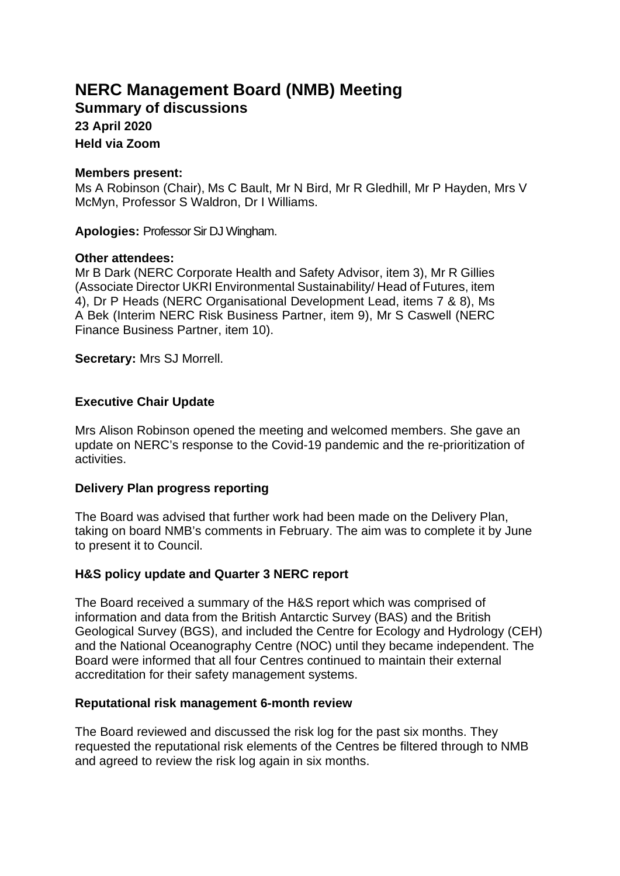# **NERC Management Board (NMB) Meeting**

**Summary of discussions**

#### **23 April 2020 Held via Zoom**

## **Members present:**

Ms A Robinson (Chair), Ms C Bault, Mr N Bird, Mr R Gledhill, Mr P Hayden, Mrs V McMyn, Professor S Waldron, Dr I Williams.

**Apologies:** Professor Sir DJ Wingham.

## **Other attendees:**

Mr B Dark (NERC Corporate Health and Safety Advisor, item 3), Mr R Gillies (Associate Director UKRI Environmental Sustainability/ Head of Futures, item 4), Dr P Heads (NERC Organisational Development Lead, items 7 & 8), Ms A Bek (Interim NERC Risk Business Partner, item 9), Mr S Caswell (NERC Finance Business Partner, item 10).

**Secretary:** Mrs SJ Morrell.

## **Executive Chair Update**

Mrs Alison Robinson opened the meeting and welcomed members. She gave an update on NERC's response to the Covid-19 pandemic and the re-prioritization of activities.

## **Delivery Plan progress reporting**

The Board was advised that further work had been made on the Delivery Plan, taking on board NMB's comments in February. The aim was to complete it by June to present it to Council.

## **H&S policy update and Quarter 3 NERC report**

The Board received a summary of the H&S report which was comprised of information and data from the British Antarctic Survey (BAS) and the British Geological Survey (BGS), and included the Centre for Ecology and Hydrology (CEH) and the National Oceanography Centre (NOC) until they became independent. The Board were informed that all four Centres continued to maintain their external accreditation for their safety management systems.

### **Reputational risk management 6-month review**

The Board reviewed and discussed the risk log for the past six months. They requested the reputational risk elements of the Centres be filtered through to NMB and agreed to review the risk log again in six months.